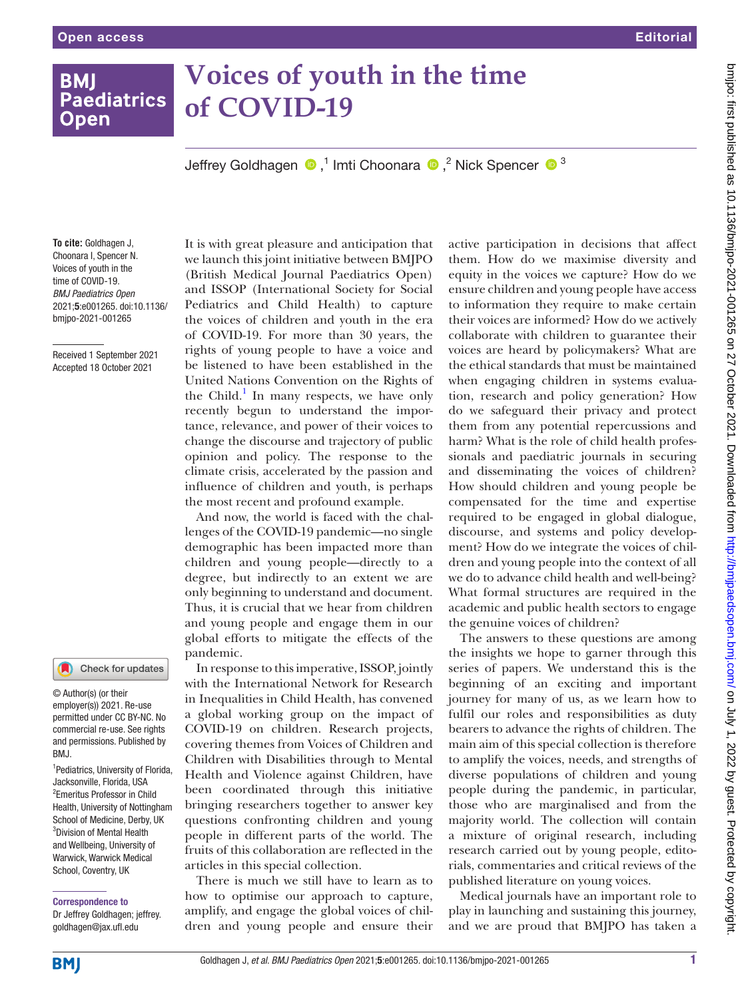**BMI** 

**Open** 

# **Voices of youth in the time Paediatrics of COVID-19**

Jeffrey Goldhagen  $\bigcirc$ ,<sup>1</sup> Imti Choonara  $\bigcirc$ ,<sup>2</sup> Nick Spencer  $\bigcirc$ <sup>3</sup>

**To cite:** Goldhagen J, Choonara I, Spencer N. Voices of youth in the time of COVID-19. *BMJ Paediatrics Open* 2021;5:e001265. doi:10.1136/ bmjpo-2021-001265

Received 1 September 2021 Accepted 18 October 2021



© Author(s) (or their employer(s)) 2021. Re-use permitted under CC BY-NC. No commercial re-use. See rights and permissions. Published by BMJ.

<sup>1</sup> Pediatrics, University of Florida, Jacksonville, Florida, USA 2 Emeritus Professor in Child Health, University of Nottingham School of Medicine, Derby, UK <sup>3</sup>Division of Mental Health and Wellbeing, University of Warwick, Warwick Medical School, Coventry, UK

### Correspondence to

Dr Jeffrey Goldhagen; jeffrey. goldhagen@jax.ufl.edu

It is with great pleasure and anticipation that we launch this joint initiative between BMJPO (British Medical Journal Paediatrics Open) and ISSOP (International Society for Social Pediatrics and Child Health) to capture the voices of children and youth in the era of COVID-19. For more than 30 years, the rights of young people to have a voice and be listened to have been established in the United Nations Convention on the Rights of the Child.<sup>1</sup> In many respects, we have only recently begun to understand the importance, relevance, and power of their voices to change the discourse and trajectory of public opinion and policy. The response to the climate crisis, accelerated by the passion and influence of children and youth, is perhaps the most recent and profound example.

And now, the world is faced with the challenges of the COVID-19 pandemic—no single demographic has been impacted more than children and young people—directly to a degree, but indirectly to an extent we are only beginning to understand and document. Thus, it is crucial that we hear from children and young people and engage them in our global efforts to mitigate the effects of the pandemic.

In response to this imperative, ISSOP, jointly with the International Network for Research in Inequalities in Child Health, has convened a global working group on the impact of COVID-19 on children. Research projects, covering themes from Voices of Children and Children with Disabilities through to Mental Health and Violence against Children, have been coordinated through this initiative bringing researchers together to answer key questions confronting children and young people in different parts of the world. The fruits of this collaboration are reflected in the articles in this special collection.

There is much we still have to learn as to how to optimise our approach to capture, amplify, and engage the global voices of children and young people and ensure their

active participation in decisions that affect them. How do we maximise diversity and equity in the voices we capture? How do we ensure children and young people have access to information they require to make certain their voices are informed? How do we actively collaborate with children to guarantee their voices are heard by policymakers? What are the ethical standards that must be maintained when engaging children in systems evaluation, research and policy generation? How do we safeguard their privacy and protect them from any potential repercussions and harm? What is the role of child health professionals and paediatric journals in securing and disseminating the voices of children? How should children and young people be compensated for the time and expertise required to be engaged in global dialogue, discourse, and systems and policy development? How do we integrate the voices of children and young people into the context of all we do to advance child health and well-being? What formal structures are required in the academic and public health sectors to engage the genuine voices of children?

The answers to these questions are among the insights we hope to garner through this series of papers. We understand this is the beginning of an exciting and important journey for many of us, as we learn how to fulfil our roles and responsibilities as duty bearers to advance the rights of children. The main aim of this special collection is therefore to amplify the voices, needs, and strengths of diverse populations of children and young people during the pandemic, in particular, those who are marginalised and from the majority world. The collection will contain a mixture of original research, including research carried out by young people, editorials, commentaries and critical reviews of the published literature on young voices.

Medical journals have an important role to play in launching and sustaining this journey, and we are proud that BMJPO has taken a